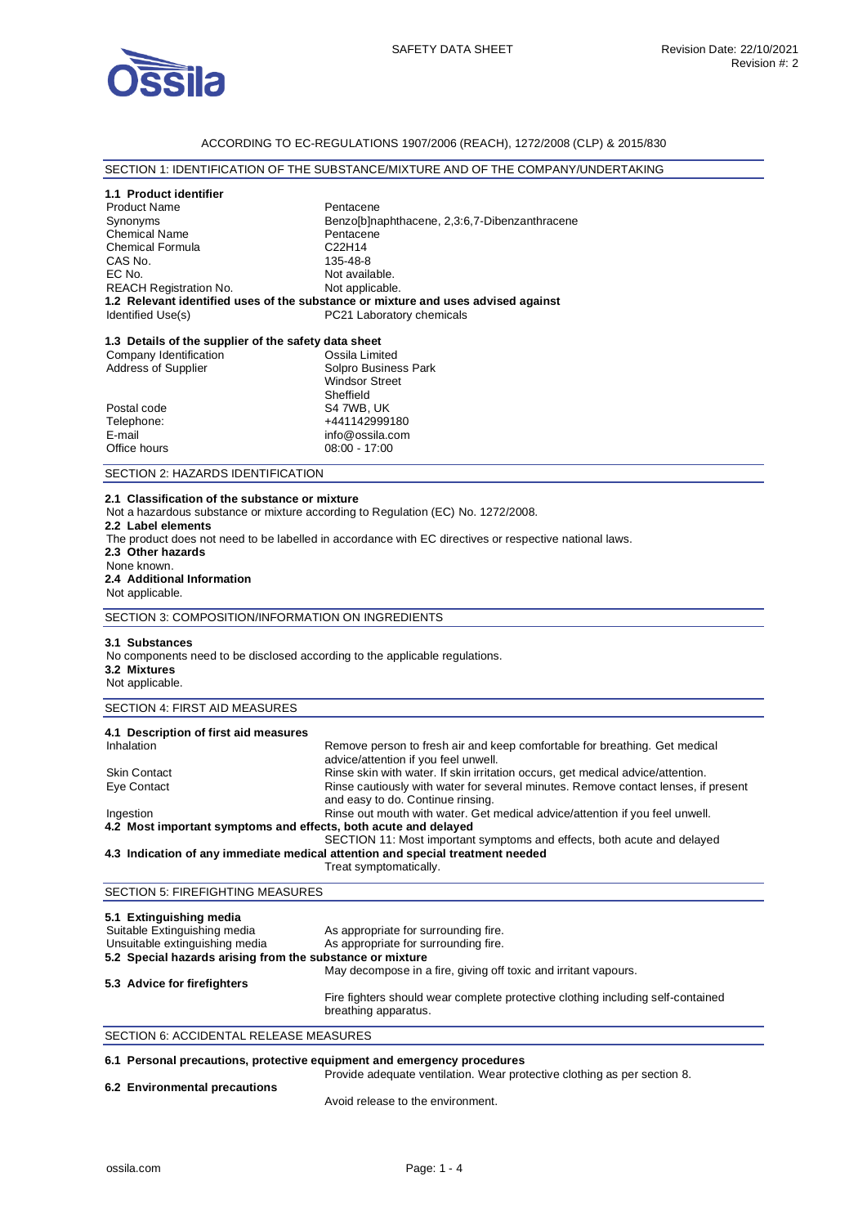

## ACCORDING TO EC-REGULATIONS 1907/2006 (REACH), 1272/2008 (CLP) & 2015/830

# SECTION 1: IDENTIFICATION OF THE SUBSTANCE/MIXTURE AND OF THE COMPANY/UNDERTAKING

### **1.1 Product identifier**

| <b>Product Name</b>           | Pentacene                                                                         |
|-------------------------------|-----------------------------------------------------------------------------------|
| Synonyms                      | Benzo[b]naphthacene, 2,3:6,7-Dibenzanthracene                                     |
| <b>Chemical Name</b>          | Pentacene                                                                         |
| <b>Chemical Formula</b>       | C22H14                                                                            |
| CAS No.                       | 135-48-8                                                                          |
| EC No.                        | Not available.                                                                    |
| <b>REACH Registration No.</b> | Not applicable.                                                                   |
|                               | 1.2 Relevant identified uses of the substance or mixture and uses advised against |
| Identified Use(s)             | PC21 Laboratory chemicals                                                         |
|                               |                                                                                   |

# **1.3 Details of the supplier of the safety data sheet**

| Ossila Limited        |
|-----------------------|
| Solpro Business Park  |
| <b>Windsor Street</b> |
| Sheffield             |
| S4 7WB, UK            |
| +441142999180         |
| info@ossila.com       |
| $08:00 - 17:00$       |
|                       |

### SECTION 2: HAZARDS IDENTIFICATION

## **2.1 Classification of the substance or mixture**

Not a hazardous substance or mixture according to Regulation (EC) No. 1272/2008.

#### **2.2 Label elements**

The product does not need to be labelled in accordance with EC directives or respective national laws.

**2.3 Other hazards** 

### None known. **2.4 Additional Information**  Not applicable.

SECTION 3: COMPOSITION/INFORMATION ON INGREDIENTS

### **3.1 Substances**

No components need to be disclosed according to the applicable regulations. **3.2 Mixtures** 

# Not applicable.

# SECTION 4: FIRST AID MEASURES

| 4.1 Description of first aid measures                           |                                                                                                                         |
|-----------------------------------------------------------------|-------------------------------------------------------------------------------------------------------------------------|
| Inhalation                                                      | Remove person to fresh air and keep comfortable for breathing. Get medical<br>advice/attention if you feel unwell.      |
| <b>Skin Contact</b>                                             | Rinse skin with water. If skin irritation occurs, get medical advice/attention.                                         |
| Eye Contact                                                     | Rinse cautiously with water for several minutes. Remove contact lenses, if present<br>and easy to do. Continue rinsing. |
| Ingestion                                                       | Rinse out mouth with water. Get medical advice/attention if you feel unwell.                                            |
| 4.2 Most important symptoms and effects, both acute and delayed |                                                                                                                         |
|                                                                 | SECTION 11: Most important symptoms and effects, both acute and delayed                                                 |
|                                                                 | 4.3 Indication of any immediate medical attention and special treatment needed                                          |
|                                                                 | Treat symptomatically.                                                                                                  |

# SECTION 5: FIREFIGHTING MEASURES

| 5.1 Extinguishing media                                   |                                                                                                         |
|-----------------------------------------------------------|---------------------------------------------------------------------------------------------------------|
| Suitable Extinguishing media                              | As appropriate for surrounding fire.                                                                    |
| Unsuitable extinguishing media                            | As appropriate for surrounding fire.                                                                    |
| 5.2 Special hazards arising from the substance or mixture |                                                                                                         |
|                                                           | May decompose in a fire, giving off toxic and irritant vapours.                                         |
| 5.3 Advice for firefighters                               |                                                                                                         |
|                                                           | Fire fighters should wear complete protective clothing including self-contained<br>breathing apparatus. |

## SECTION 6: ACCIDENTAL RELEASE MEASURES

## **6.1 Personal precautions, protective equipment and emergency procedures**

| 6.2 Environmental precautions | Provide adequate ventilation. Wear protective clothing as per section 8. |
|-------------------------------|--------------------------------------------------------------------------|
|                               | Avoid release to the environment.                                        |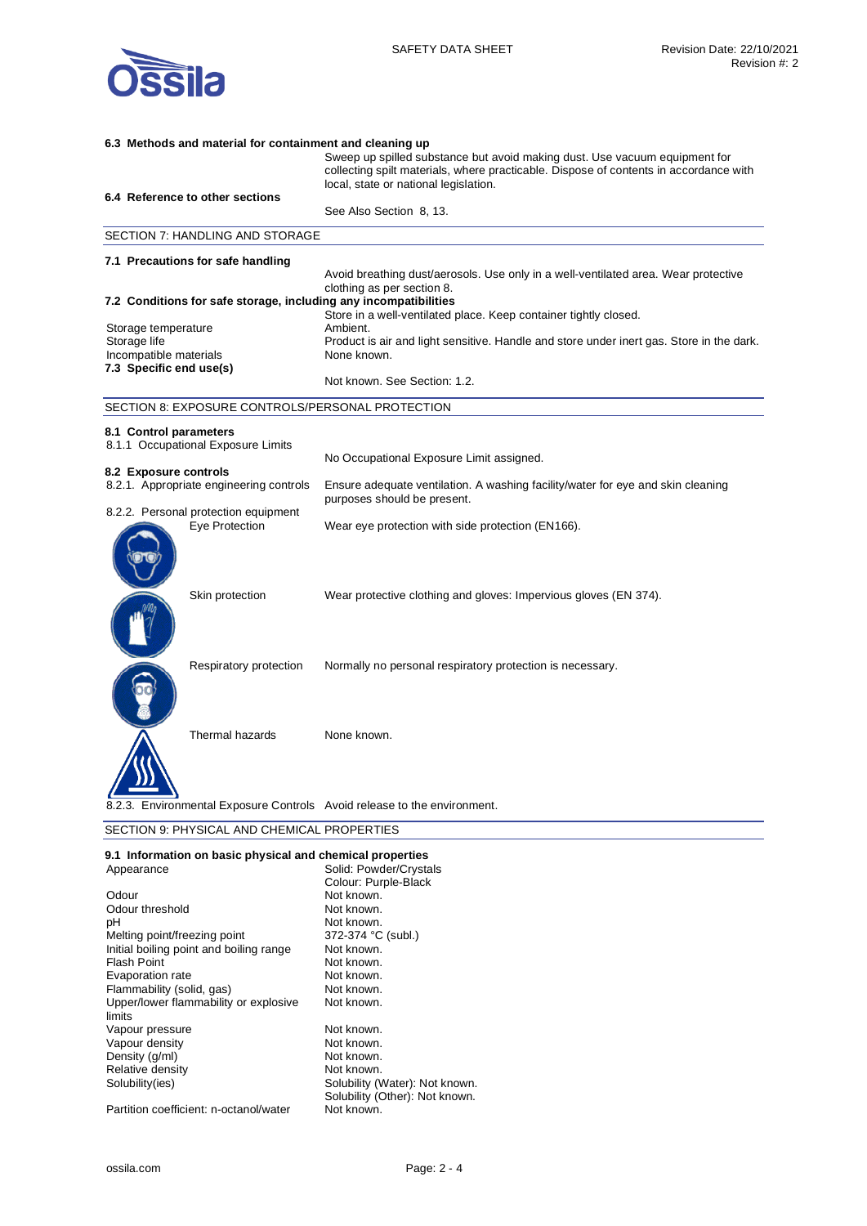

| 6.3 Methods and material for containment and cleaning up                        |                                                                                                                                                                     |
|---------------------------------------------------------------------------------|---------------------------------------------------------------------------------------------------------------------------------------------------------------------|
|                                                                                 | Sweep up spilled substance but avoid making dust. Use vacuum equipment for<br>collecting spilt materials, where practicable. Dispose of contents in accordance with |
|                                                                                 | local, state or national legislation.                                                                                                                               |
| 6.4 Reference to other sections                                                 |                                                                                                                                                                     |
|                                                                                 | See Also Section 8, 13.                                                                                                                                             |
| SECTION 7: HANDLING AND STORAGE                                                 |                                                                                                                                                                     |
| 7.1 Precautions for safe handling                                               |                                                                                                                                                                     |
|                                                                                 | Avoid breathing dust/aerosols. Use only in a well-ventilated area. Wear protective                                                                                  |
| 7.2 Conditions for safe storage, including any incompatibilities                | clothing as per section 8.                                                                                                                                          |
|                                                                                 | Store in a well-ventilated place. Keep container tightly closed.                                                                                                    |
| Storage temperature                                                             | Ambient.                                                                                                                                                            |
| Storage life                                                                    | Product is air and light sensitive. Handle and store under inert gas. Store in the dark.                                                                            |
| Incompatible materials                                                          | None known.                                                                                                                                                         |
| 7.3 Specific end use(s)                                                         | Not known. See Section: 1.2.                                                                                                                                        |
| SECTION 8: EXPOSURE CONTROLS/PERSONAL PROTECTION                                |                                                                                                                                                                     |
| 8.1 Control parameters                                                          |                                                                                                                                                                     |
| 8.1.1 Occupational Exposure Limits                                              |                                                                                                                                                                     |
|                                                                                 | No Occupational Exposure Limit assigned.                                                                                                                            |
| 8.2 Exposure controls                                                           |                                                                                                                                                                     |
| 8.2.1. Appropriate engineering controls<br>8.2.2. Personal protection equipment | Ensure adequate ventilation. A washing facility/water for eye and skin cleaning<br>purposes should be present.                                                      |
| Eye Protection                                                                  | Wear eye protection with side protection (EN166).                                                                                                                   |
|                                                                                 |                                                                                                                                                                     |
|                                                                                 |                                                                                                                                                                     |
|                                                                                 |                                                                                                                                                                     |
| Skin protection                                                                 | Wear protective clothing and gloves: Impervious gloves (EN 374).                                                                                                    |
|                                                                                 |                                                                                                                                                                     |
|                                                                                 |                                                                                                                                                                     |
|                                                                                 |                                                                                                                                                                     |
| Respiratory protection                                                          | Normally no personal respiratory protection is necessary.                                                                                                           |
|                                                                                 |                                                                                                                                                                     |
|                                                                                 |                                                                                                                                                                     |
|                                                                                 |                                                                                                                                                                     |
|                                                                                 |                                                                                                                                                                     |
| Thermal hazards                                                                 | None known.                                                                                                                                                         |
|                                                                                 |                                                                                                                                                                     |
|                                                                                 |                                                                                                                                                                     |
|                                                                                 |                                                                                                                                                                     |
| 8.2.3. Environmental Exposure Controls Avoid release to the environment.        |                                                                                                                                                                     |
| CECTION A. DUVOICAL AND CUEMICAL DROBERTIES                                     |                                                                                                                                                                     |

SECTION 9: PHYSICAL AND CHEMICAL PROPERTIES

| 9.1 Information on basic physical and chemical properties |                                |
|-----------------------------------------------------------|--------------------------------|
| Appearance                                                | Solid: Powder/Crystals         |
|                                                           | Colour: Purple-Black           |
| Odour                                                     | Not known.                     |
| Odour threshold                                           | Not known.                     |
| рH                                                        | Not known.                     |
| Melting point/freezing point                              | 372-374 °C (subl.)             |
| Initial boiling point and boiling range                   | Not known.                     |
| <b>Flash Point</b>                                        | Not known.                     |
| Evaporation rate                                          | Not known.                     |
| Flammability (solid, gas)                                 | Not known.                     |
| Upper/lower flammability or explosive                     | Not known.                     |
| limits                                                    |                                |
| Vapour pressure                                           | Not known.                     |
| Vapour density                                            | Not known.                     |
| Density (g/ml)                                            | Not known.                     |
| Relative density                                          | Not known.                     |
| Solubility(ies)                                           | Solubility (Water): Not known. |
|                                                           | Solubility (Other): Not known. |
| Partition coefficient: n-octanol/water                    | Not known.                     |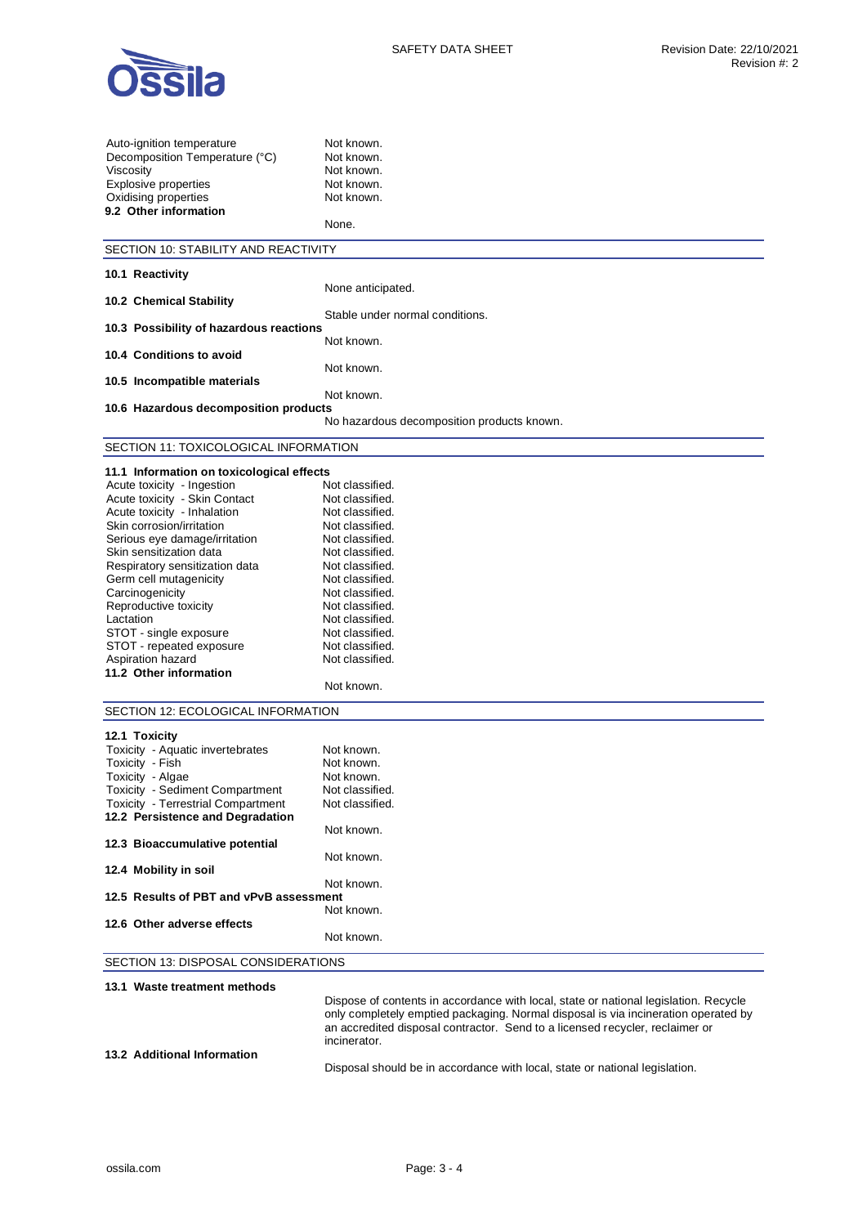

| Auto-ignition temperature                                                     | Not known.                                                                           |
|-------------------------------------------------------------------------------|--------------------------------------------------------------------------------------|
| Decomposition Temperature (°C)                                                | Not known.                                                                           |
| Viscosity                                                                     | Not known.                                                                           |
| <b>Explosive properties</b>                                                   | Not known.                                                                           |
| Oxidising properties                                                          | Not known.                                                                           |
| 9.2 Other information                                                         |                                                                                      |
|                                                                               | None.                                                                                |
| SECTION 10: STABILITY AND REACTIVITY                                          |                                                                                      |
|                                                                               |                                                                                      |
| 10.1 Reactivity                                                               |                                                                                      |
| 10.2 Chemical Stability                                                       | None anticipated.                                                                    |
|                                                                               | Stable under normal conditions.                                                      |
| 10.3 Possibility of hazardous reactions                                       |                                                                                      |
|                                                                               | Not known.                                                                           |
| 10.4 Conditions to avoid                                                      |                                                                                      |
|                                                                               | Not known.                                                                           |
| 10.5 Incompatible materials                                                   |                                                                                      |
|                                                                               | Not known.                                                                           |
| 10.6 Hazardous decomposition products                                         |                                                                                      |
|                                                                               | No hazardous decomposition products known.                                           |
| SECTION 11: TOXICOLOGICAL INFORMATION                                         |                                                                                      |
| 11.1 Information on toxicological effects                                     |                                                                                      |
| Acute toxicity - Ingestion                                                    | Not classified.                                                                      |
| Acute toxicity - Skin Contact                                                 | Not classified.                                                                      |
| Acute toxicity - Inhalation                                                   | Not classified.                                                                      |
| Skin corrosion/irritation                                                     | Not classified.                                                                      |
| Serious eye damage/irritation                                                 | Not classified.                                                                      |
| Skin sensitization data                                                       | Not classified.                                                                      |
| Respiratory sensitization data                                                | Not classified.                                                                      |
| Germ cell mutagenicity                                                        | Not classified.                                                                      |
| Carcinogenicity                                                               | Not classified.                                                                      |
| Reproductive toxicity                                                         | Not classified.                                                                      |
| Lactation                                                                     | Not classified.<br>Not classified.                                                   |
| STOT - single exposure<br>STOT - repeated exposure                            | Not classified.                                                                      |
| Aspiration hazard                                                             | Not classified.                                                                      |
| 11.2 Other information                                                        |                                                                                      |
|                                                                               | Not known.                                                                           |
| SECTION 12: ECOLOGICAL INFORMATION                                            |                                                                                      |
|                                                                               |                                                                                      |
| 12.1 Toxicity                                                                 |                                                                                      |
| Toxicity - Aquatic invertebrates                                              | Not known.                                                                           |
| Toxicity - Fish                                                               | Not known.                                                                           |
| Toxicity - Algae                                                              | Not known.                                                                           |
| Toxicity - Sediment Compartment                                               | Not classified.                                                                      |
| <b>Toxicity - Terrestrial Compartment</b><br>12.2 Persistence and Degradation | Not classified.                                                                      |
|                                                                               | Not known.                                                                           |
| 12.3 Bioaccumulative potential                                                |                                                                                      |
|                                                                               | Not known.                                                                           |
| 12.4 Mobility in soil                                                         |                                                                                      |
|                                                                               | Not known.                                                                           |
| 12.5 Results of PBT and vPvB assessment                                       |                                                                                      |
|                                                                               | Not known.                                                                           |
| 12.6 Other adverse effects                                                    |                                                                                      |
|                                                                               | Not known.                                                                           |
| SECTION 13: DISPOSAL CONSIDERATIONS                                           |                                                                                      |
| 13.1 Waste treatment methods                                                  |                                                                                      |
|                                                                               | Dispose of contents in accordance with local, state or national legislation. Recycle |
|                                                                               | only completely emptied packaging. Normal disposal is via incineration operated by   |
|                                                                               | an accredited disposal contractor. Send to a licensed recycler, reclaimer or         |

**13.2 Additional Information** 

Disposal should be in accordance with local, state or national legislation.

incinerator.